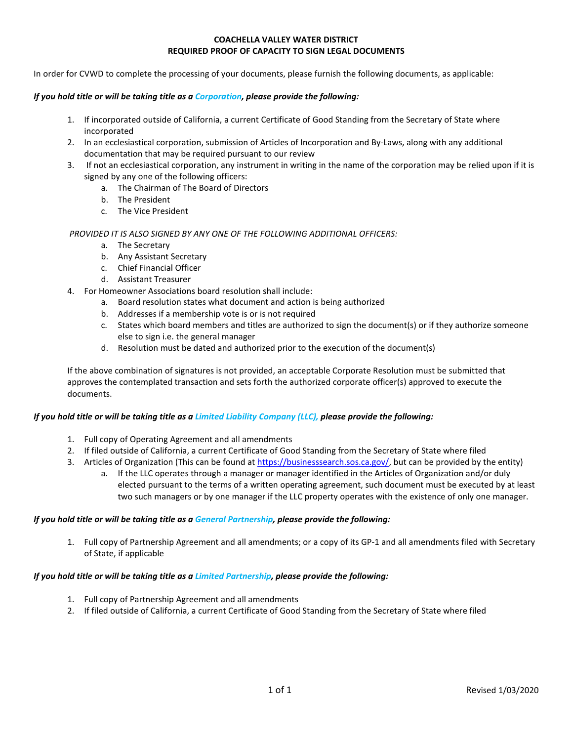#### **COACHELLA VALLEY WATER DISTRICT REQUIRED PROOF OF CAPACITY TO SIGN LEGAL DOCUMENTS**

In order for CVWD to complete the processing of your documents, please furnish the following documents, as applicable:

#### *If you hold title or will be taking title as a Corporation, please provide the following:*

- 1. If incorporated outside of California, a current Certificate of Good Standing from the Secretary of State where incorporated
- 2. In an ecclesiastical corporation, submission of Articles of Incorporation and By-Laws, along with any additional documentation that may be required pursuant to our review
- 3. If not an ecclesiastical corporation, any instrument in writing in the name of the corporation may be relied upon if it is signed by any one of the following officers:
	- a. The Chairman of The Board of Directors
	- b. The President
	- c. The Vice President

## *PROVIDED IT IS ALSO SIGNED BY ANY ONE OF THE FOLLOWING ADDITIONAL OFFICERS:*

- a. The Secretary
- b. Any Assistant Secretary
- c. Chief Financial Officer
- d. Assistant Treasurer
- 4. For Homeowner Associations board resolution shall include:
	- a. Board resolution states what document and action is being authorized
	- b. Addresses if a membership vote is or is not required
	- c. States which board members and titles are authorized to sign the document(s) or if they authorize someone else to sign i.e. the general manager
	- d. Resolution must be dated and authorized prior to the execution of the document(s)

If the above combination of signatures is not provided, an acceptable Corporate Resolution must be submitted that approves the contemplated transaction and sets forth the authorized corporate officer(s) approved to execute the documents.

## *If you hold title or will be taking title as a Limited Liability Company (LLC), please provide the following:*

- 1. Full copy of Operating Agreement and all amendments
- 2. If filed outside of California, a current Certificate of Good Standing from the Secretary of State where filed
- 3. Articles of Organization (This can be found at [https://businesssearch.sos.ca.gov/,](https://businesssearch.sos.ca.gov/) but can be provided by the entity)
	- a. If the LLC operates through a manager or manager identified in the Articles of Organization and/or duly elected pursuant to the terms of a written operating agreement, such document must be executed by at least two such managers or by one manager if the LLC property operates with the existence of only one manager.

# *If you hold title or will be taking title as a General Partnership, please provide the following:*

1. Full copy of Partnership Agreement and all amendments; or a copy of its GP-1 and all amendments filed with Secretary of State, if applicable

## *If you hold title or will be taking title as a Limited Partnership, please provide the following:*

- 1. Full copy of Partnership Agreement and all amendments
- 2. If filed outside of California, a current Certificate of Good Standing from the Secretary of State where filed